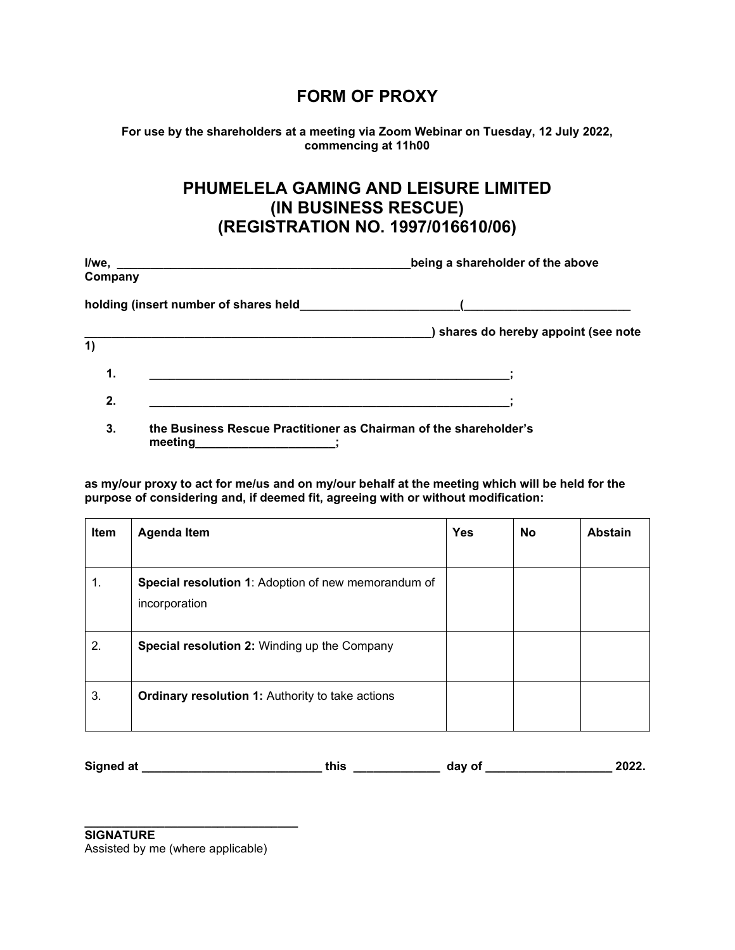## **FORM OF PROXY**

**For use by the shareholders at a meeting via Zoom Webinar on Tuesday, 12 July 2022, commencing at 11h00**

## **PHUMELELA GAMING AND LEISURE LIMITED (IN BUSINESS RESCUE) (REGISTRATION NO. 1997/016610/06)**

| Company |                                                                                             | being a shareholder of the above     |  |  |
|---------|---------------------------------------------------------------------------------------------|--------------------------------------|--|--|
|         | holding (insert number of shares held <b>normally selling</b> (insert number of shares held |                                      |  |  |
| 1)      |                                                                                             | ) shares do hereby appoint (see note |  |  |
| 1.      |                                                                                             |                                      |  |  |
| 2.      |                                                                                             |                                      |  |  |
| 3.      | the Business Rescue Practitioner as Chairman of the shareholder's<br>meeting                |                                      |  |  |

**as my/our proxy to act for me/us and on my/our behalf at the meeting which will be held for the purpose of considering and, if deemed fit, agreeing with or without modification:**

| Item | <b>Agenda Item</b>                                                   | <b>Yes</b> | <b>No</b> | <b>Abstain</b> |
|------|----------------------------------------------------------------------|------------|-----------|----------------|
|      |                                                                      |            |           |                |
| 1.   | Special resolution 1: Adoption of new memorandum of<br>incorporation |            |           |                |
| 2.   | <b>Special resolution 2: Winding up the Company</b>                  |            |           |                |
| 3.   | <b>Ordinary resolution 1: Authority to take actions</b>              |            |           |                |

| Signed at | 'hic | dav of | $\cdots$<br>70Z |
|-----------|------|--------|-----------------|
|-----------|------|--------|-----------------|

**\_\_\_\_\_\_\_\_\_\_\_\_\_\_\_\_\_\_\_\_\_\_\_\_\_\_\_\_\_\_\_\_ SIGNATURE**

Assisted by me (where applicable)